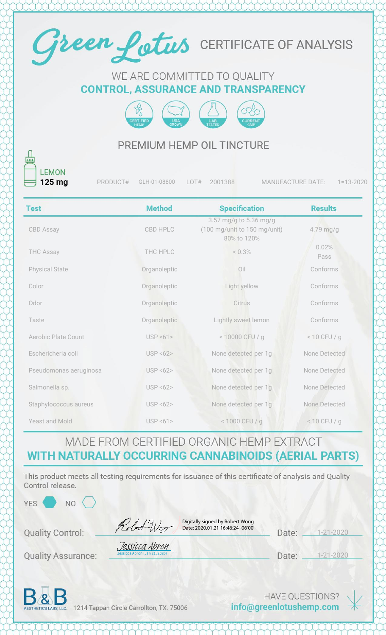

#### WE ARE COMMITTED TO QUALITY **CONTROL, ASSURANCE AND TRANSPARENCY**



## PREMIUM HEMP OIL TINCTURE

**LEMON** 125 mg

PRODUCT# GLH-01-08800 LOT# 2001388 MANUFACTURE DATE: 1=13-2020

| <b>Test</b>            | <b>Method</b>         | <b>Specification</b>                                                  | <b>Results</b> |
|------------------------|-----------------------|-----------------------------------------------------------------------|----------------|
| <b>CBD Assay</b>       | <b>CBD HPLC</b>       | 3.57 mg/g to 5.36 mg/g<br>(100 mg/unit to 150 mg/unit)<br>80% to 120% | 4.79 mg/g      |
| <b>THC Assay</b>       | THC HPLC              | $< 0.3\%$                                                             | 0.02%<br>Pass  |
| <b>Physical State</b>  | Organoleptic          | Oil                                                                   | Conforms       |
| Color                  | Organoleptic          | Light yellow                                                          | Conforms       |
| Odor                   | Organoleptic          | Citrus                                                                | Conforms       |
| Taste                  | Organoleptic          | Lightly sweet lemon                                                   | Conforms       |
| Aerobic Plate Count    | USP < 61              | < 10000 CFU / g                                                       | $< 10$ CFU / g |
| Eschericheria coli     | USP < 62              | None detected per 1g                                                  | None Detected  |
| Pseudomonas aeruginosa | <b>USP &lt;62&gt;</b> | None detected per 1g                                                  | None Detected  |
| Salmonella sp.         | <b>USP &lt;62&gt;</b> | None detected per 1g                                                  | None Detected  |
| Staphylococcus aureus  | USP < 62              | None detected per 1g                                                  | None Detected  |
| Yeast and Mold         | USP < 61              | < 1000 CFU / g                                                        | $< 10$ CFU / g |

#### MADE FROM CERTIFIED ORGANIC HEMP EXTRACT **WITH NATURALLY OCCURRING CANNABINOIDS (AERIAL PARTS)**

This product meets all testing requirements for issuance of this certificate of analysis and Quality Control release.

YES<sup></sup>

| Robert W |
|----------|
|          |

Digitally signed by Robert Wong Date: 2020.01.21 16:46:24 -06'00'

| Date: | $1 - 21 - 2020$ |
|-------|-----------------|

**Quality Assurance:** 

**Quality Control:** 

**NO** 

| Jessicca Abron                |
|-------------------------------|
| Jessicca Abron (Jan 21, 2020) |

D

| ate: | $1 - 21 - 2020$ |
|------|-----------------|
|      |                 |



1214 Tappan Circle Carrollton, TX. 75006

HAVE QUESTIONS? info@greenlotushemp.com